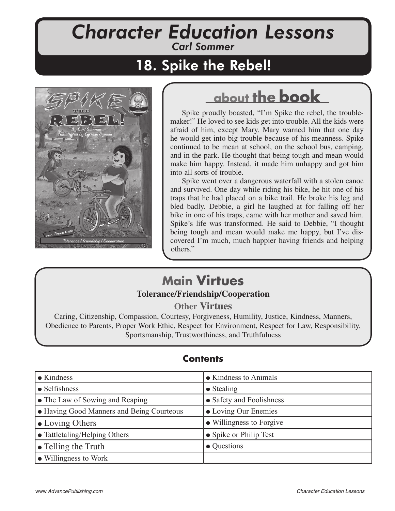# *Character Education Lessons Carl Sommer*

# 18. Spike the Rebel!



# **about the book**

Spike proudly boasted, "I'm Spike the rebel, the troublemaker!" He loved to see kids get into trouble. All the kids were afraid of him, except Mary. Mary warned him that one day he would get into big trouble because of his meanness. Spike continued to be mean at school, on the school bus, camping, and in the park. He thought that being tough and mean would make him happy. Instead, it made him unhappy and got him into all sorts of trouble.

Spike went over a dangerous waterfall with a stolen canoe and survived. One day while riding his bike, he hit one of his traps that he had placed on a bike trail. He broke his leg and bled badly. Debbie, a girl he laughed at for falling off her bike in one of his traps, came with her mother and saved him. Spike's life was transformed. He said to Debbie, "I thought being tough and mean would make me happy, but I've discovered I'm much, much happier having friends and helping others."

# **Main Virtues Tolerance/Friendship/Cooperation**

**Other Virtues**

Caring, Citizenship, Compassion, Courtesy, Forgiveness, Humility, Justice, Kindness, Manners, Obedience to Parents, Proper Work Ethic, Respect for Environment, Respect for Law, Responsibility, Sportsmanship, Trustworthiness, and Truthfulness

| $\bullet$ Kindness                        | • Kindness to Animals    |
|-------------------------------------------|--------------------------|
| $\bullet$ Selfishness                     | $\bullet$ Stealing       |
| • The Law of Sowing and Reaping           | • Safety and Foolishness |
| • Having Good Manners and Being Courteous | • Loving Our Enemies     |
| $\bullet$ Loving Others                   | • Willingness to Forgive |
| • Tattletaling/Helping Others             | • Spike or Philip Test   |
| • Telling the Truth                       | • Questions              |
| • Willingness to Work                     |                          |

## **Contents**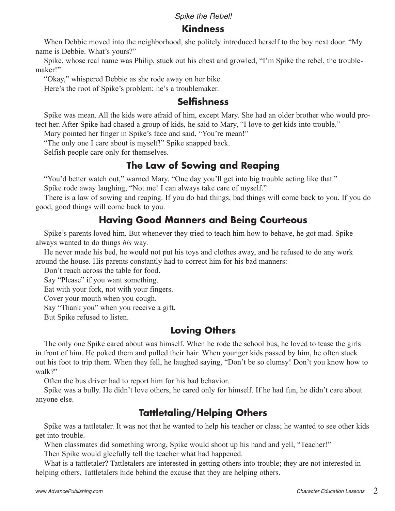#### **Kindness**

 When Debbie moved into the neighborhood, she politely introduced herself to the boy next door. "My name is Debbie. What's yours?"

 Spike, whose real name was Philip, stuck out his chest and growled, "I'm Spike the rebel, the troublemaker!"

"Okay," whispered Debbie as she rode away on her bike.

Here's the root of Spike's problem; he's a troublemaker.

#### **Selfi shness**

 Spike was mean. All the kids were afraid of him, except Mary. She had an older brother who would protect her. After Spike had chased a group of kids, he said to Mary, "I love to get kids into trouble."

Mary pointed her finger in Spike's face and said, "You're mean!"

"The only one I care about is myself!" Spike snapped back.

Selfish people care only for themselves.

## **The Law of Sowing and Reaping**

"You'd better watch out," warned Mary. "One day you'll get into big trouble acting like that."

Spike rode away laughing, "Not me! I can always take care of myself."

 There is a law of sowing and reaping. If you do bad things, bad things will come back to you. If you do good, good things will come back to you.

# **Having Good Manners and Being Courteous**

 Spike's parents loved him. But whenever they tried to teach him how to behave, he got mad. Spike always wanted to do things *his* way.

 He never made his bed, he would not put his toys and clothes away, and he refused to do any work around the house. His parents constantly had to correct him for his bad manners:

Don't reach across the table for food.

Say "Please" if you want something.

Eat with your fork, not with your fingers.

Cover your mouth when you cough.

Say "Thank you" when you receive a gift.

But Spike refused to listen.

## **Loving Others**

 The only one Spike cared about was himself. When he rode the school bus, he loved to tease the girls in front of him. He poked them and pulled their hair. When younger kids passed by him, he often stuck out his foot to trip them. When they fell, he laughed saying, "Don't be so clumsy! Don't you know how to walk?"

Often the bus driver had to report him for his bad behavior.

 Spike was a bully. He didn't love others, he cared only for himself. If he had fun, he didn't care about anyone else.

# **Tattletaling/Helping Others**

 Spike was a tattletaler. It was not that he wanted to help his teacher or class; he wanted to see other kids get into trouble.

 When classmates did something wrong, Spike would shoot up his hand and yell, "Teacher!" Then Spike would gleefully tell the teacher what had happened.

 What is a tattletaler? Tattletalers are interested in getting others into trouble; they are not interested in helping others. Tattletalers hide behind the excuse that they are helping others.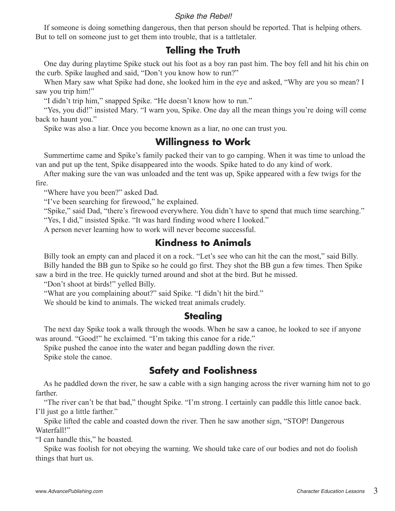If someone is doing something dangerous, then that person should be reported. That is helping others. But to tell on someone just to get them into trouble, that is a tattletaler.

#### **Telling the Truth**

 One day during playtime Spike stuck out his foot as a boy ran past him. The boy fell and hit his chin on the curb. Spike laughed and said, "Don't you know how to run?"

 When Mary saw what Spike had done, she looked him in the eye and asked, "Why are you so mean? I saw you trip him!"

"I didn't trip him," snapped Spike. "He doesn't know how to run."

 "Yes, you did!" insisted Mary. "I warn you, Spike. One day all the mean things you're doing will come back to haunt you."

Spike was also a liar. Once you become known as a liar, no one can trust you.

#### **Willingness to Work**

 Summertime came and Spike's family packed their van to go camping. When it was time to unload the van and put up the tent, Spike disappeared into the woods. Spike hated to do any kind of work.

 After making sure the van was unloaded and the tent was up, Spike appeared with a few twigs for the fire.

"Where have you been?" asked Dad.

"I've been searching for firewood," he explained.

 "Spike," said Dad, "there's firewood everywhere. You didn't have to spend that much time searching." "Yes, I did," insisted Spike. "It was hard finding wood where I looked."

A person never learning how to work will never become successful.

#### **Kindness to Animals**

 Billy took an empty can and placed it on a rock. "Let's see who can hit the can the most," said Billy. Billy handed the BB gun to Spike so he could go first. They shot the BB gun a few times. Then Spike saw a bird in the tree. He quickly turned around and shot at the bird. But he missed.

"Don't shoot at birds!" yelled Billy.

"What are you complaining about?" said Spike. "I didn't hit the bird."

We should be kind to animals. The wicked treat animals crudely.

#### **Stealing**

 The next day Spike took a walk through the woods. When he saw a canoe, he looked to see if anyone was around. "Good!" he exclaimed. "I'm taking this canoe for a ride."

Spike pushed the canoe into the water and began paddling down the river.

Spike stole the canoe.

### **Safety and Foolishness**

 As he paddled down the river, he saw a cable with a sign hanging across the river warning him not to go farther.

 "The river can't be that bad," thought Spike. "I'm strong. I certainly can paddle this little canoe back. I'll just go a little farther."

 Spike lifted the cable and coasted down the river. Then he saw another sign, "STOP! Dangerous Waterfall!"

"I can handle this," he boasted.

 Spike was foolish for not obeying the warning. We should take care of our bodies and not do foolish things that hurt us.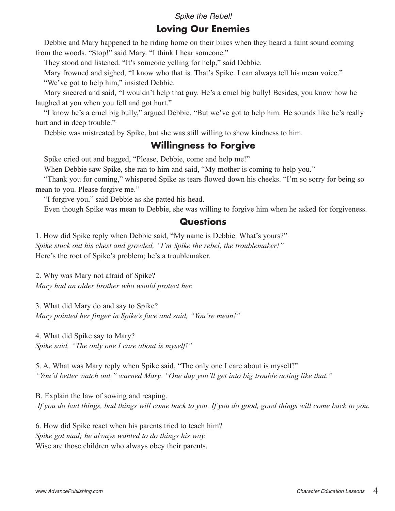#### **Loving Our Enemies**

 Debbie and Mary happened to be riding home on their bikes when they heard a faint sound coming from the woods. "Stop!" said Mary. "I think I hear someone."

They stood and listened. "It's someone yelling for help," said Debbie.

Mary frowned and sighed, "I know who that is. That's Spike. I can always tell his mean voice."

"We've got to help him," insisted Debbie.

 Mary sneered and said, "I wouldn't help that guy. He's a cruel big bully! Besides, you know how he laughed at you when you fell and got hurt."

 "I know he's a cruel big bully," argued Debbie. "But we've got to help him. He sounds like he's really hurt and in deep trouble."

Debbie was mistreated by Spike, but she was still willing to show kindness to him.

### **Willingness to Forgive**

Spike cried out and begged, "Please, Debbie, come and help me!"

When Debbie saw Spike, she ran to him and said, "My mother is coming to help you."

 "Thank you for coming," whispered Spike as tears flowed down his cheeks. "I'm so sorry for being so mean to you. Please forgive me."

"I forgive you," said Debbie as she patted his head.

Even though Spike was mean to Debbie, she was willing to forgive him when he asked for forgiveness.

#### **Questions**

1. How did Spike reply when Debbie said, "My name is Debbie. What's yours?" *Spike stuck out his chest and growled, "I'm Spike the rebel, the troublemaker!"* Here's the root of Spike's problem; he's a troublemaker.

2. Why was Mary not afraid of Spike? *Mary had an older brother who would protect her.*

3. What did Mary do and say to Spike? *Mary pointed her finger in Spike's face and said, "You're mean!"*

4. What did Spike say to Mary? *Spike said, "The only one I care about is myself!"* 

5. A. What was Mary reply when Spike said, "The only one I care about is myself!" *"You'd better watch out," warned Mary. "One day you'll get into big trouble acting like that."*

B. Explain the law of sowing and reaping.  *If you do bad things, bad things will come back to you. If you do good, good things will come back to you.* 

6. How did Spike react when his parents tried to teach him? *Spike got mad; he always wanted to do things his way.* Wise are those children who always obey their parents.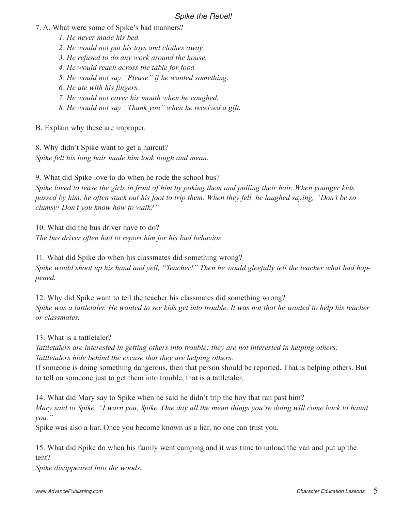- 7. A. What were some of Spike's bad manners?
	- *1. He never made his bed.*
	- *2. He would not put his toys and clothes away.*
	- *3. He refused to do any work around the house.*
	- *4. He would reach across the table for food.*
	- *5. He would not say "Please" if he wanted something.*
	- *6. He ate with his fingers.*
	- *7. He would not cover his mouth when he coughed.*
	- *8. He would not say "Thank you" when he received a gift.*

B. Explain why these are improper.

8. Why didn't Spike want to get a haircut? *Spike felt his long hair made him look tough and mean.* 

9. What did Spike love to do when he rode the school bus?

*Spike loved to tease the girls in front of him by poking them and pulling their hair. When younger kids passed by him, he often stuck out his foot to trip them. When they fell, he laughed saying, "Don't be so clumsy! Don't you know how to walk?"*

10. What did the bus driver have to do?

*The bus driver often had to report him for his bad behavior.*

11. What did Spike do when his classmates did something wrong? *Spike would shoot up his hand and yell, "Teacher!" Then he would gleefully tell the teacher what had happened.* 

12. Why did Spike want to tell the teacher his classmates did something wrong? *Spike was a tattletaler. He wanted to see kids get into trouble. It was not that he wanted to help his teacher or classmates.* 

13. What is a tattletaler?

*Tattletalers are interested in getting others into trouble; they are not interested in helping others. Tattletalers hide behind the excuse that they are helping others.*

If someone is doing something dangerous, then that person should be reported. That is helping others. But to tell on someone just to get them into trouble, that is a tattletaler.

14. What did Mary say to Spike when he said he didn't trip the boy that ran past him? *Mary said to Spike, "I warn you, Spike. One day all the mean things you're doing will come back to haunt you."*

Spike was also a liar. Once you become known as a liar, no one can trust you.

15. What did Spike do when his family went camping and it was time to unload the van and put up the tent?

*Spike disappeared into the woods.*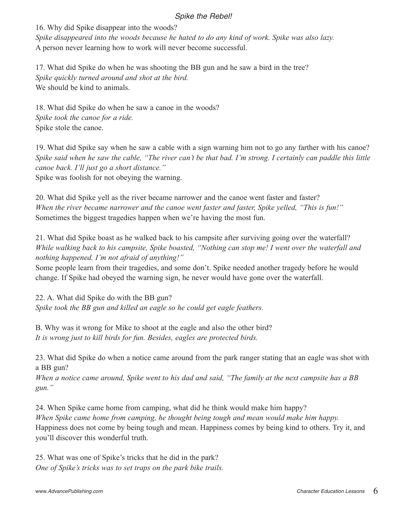16. Why did Spike disappear into the woods?

*Spike disappeared into the woods because he hated to do any kind of work. Spike was also lazy.* A person never learning how to work will never become successful.

17. What did Spike do when he was shooting the BB gun and he saw a bird in the tree? *Spike quickly turned around and shot at the bird.*  We should be kind to animals.

18. What did Spike do when he saw a canoe in the woods? *Spike took the canoe for a ride.* Spike stole the canoe.

19. What did Spike say when he saw a cable with a sign warning him not to go any farther with his canoe? *Spike said when he saw the cable, "The river can't be that bad. I'm strong. I certainly can paddle this little canoe back. I'll just go a short distance."* Spike was foolish for not obeying the warning.

20. What did Spike yell as the river became narrower and the canoe went faster and faster? *When the river became narrower and the canoe went faster and faster, Spike yelled, "This is fun!"*  Sometimes the biggest tragedies happen when we're having the most fun.

21. What did Spike boast as he walked back to his campsite after surviving going over the waterfall? *While walking back to his campsite, Spike boasted, "Nothing can stop me! I went over the waterfall and nothing happened. I'm not afraid of anything!"*

Some people learn from their tragedies, and some don't. Spike needed another tragedy before he would change. If Spike had obeyed the warning sign, he never would have gone over the waterfall.

22. A. What did Spike do with the BB gun? *Spike took the BB gun and killed an eagle so he could get eagle feathers.*

B. Why was it wrong for Mike to shoot at the eagle and also the other bird? *It is wrong just to kill birds for fun. Besides, eagles are protected birds.*

23. What did Spike do when a notice came around from the park ranger stating that an eagle was shot with a BB gun?

*When a notice came around, Spike went to his dad and said, "The family at the next campsite has a BB gun."*

24. When Spike came home from camping, what did he think would make him happy? *When Spike came home from camping, he thought being tough and mean would make him happy.* Happiness does not come by being tough and mean. Happiness comes by being kind to others. Try it, and you'll discover this wonderful truth.

25. What was one of Spike's tricks that he did in the park? *One of Spike's tricks was to set traps on the park bike trails.*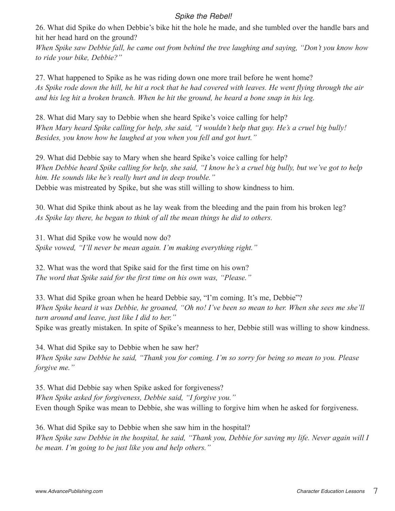26. What did Spike do when Debbie's bike hit the hole he made, and she tumbled over the handle bars and hit her head hard on the ground?

*When Spike saw Debbie fall, he came out from behind the tree laughing and saying, "Don't you know how to ride your bike, Debbie?"*

27. What happened to Spike as he was riding down one more trail before he went home? *As Spike rode down the hill, he hit a rock that he had covered with leaves. He went flying through the air and his leg hit a broken branch. When he hit the ground, he heard a bone snap in his leg.* 

28. What did Mary say to Debbie when she heard Spike's voice calling for help? *When Mary heard Spike calling for help, she said, "I wouldn't help that guy. He's a cruel big bully! Besides, you know how he laughed at you when you fell and got hurt."*

29. What did Debbie say to Mary when she heard Spike's voice calling for help? *When Debbie heard Spike calling for help, she said, "I know he's a cruel big bully, but we've got to help him. He sounds like he's really hurt and in deep trouble."* Debbie was mistreated by Spike, but she was still willing to show kindness to him.

30. What did Spike think about as he lay weak from the bleeding and the pain from his broken leg? *As Spike lay there, he began to think of all the mean things he did to others.*

31. What did Spike vow he would now do? *Spike vowed, "I'll never be mean again. I'm making everything right."*

32. What was the word that Spike said for the first time on his own? *The word that Spike said for the first time on his own was, "Please."*

33. What did Spike groan when he heard Debbie say, "I'm coming. It's me, Debbie"? *When Spike heard it was Debbie, he groaned, "Oh no! I've been so mean to her. When she sees me she'll turn around and leave, just like I did to her."* Spike was greatly mistaken. In spite of Spike's meanness to her, Debbie still was willing to show kindness.

34. What did Spike say to Debbie when he saw her? *When Spike saw Debbie he said, "Thank you for coming. I'm so sorry for being so mean to you. Please forgive me."*

35. What did Debbie say when Spike asked for forgiveness? *When Spike asked for forgiveness, Debbie said, "I forgive you."*  Even though Spike was mean to Debbie, she was willing to forgive him when he asked for forgiveness.

36. What did Spike say to Debbie when she saw him in the hospital? *When Spike saw Debbie in the hospital, he said, "Thank you, Debbie for saving my life. Never again will I be mean. I'm going to be just like you and help others."*